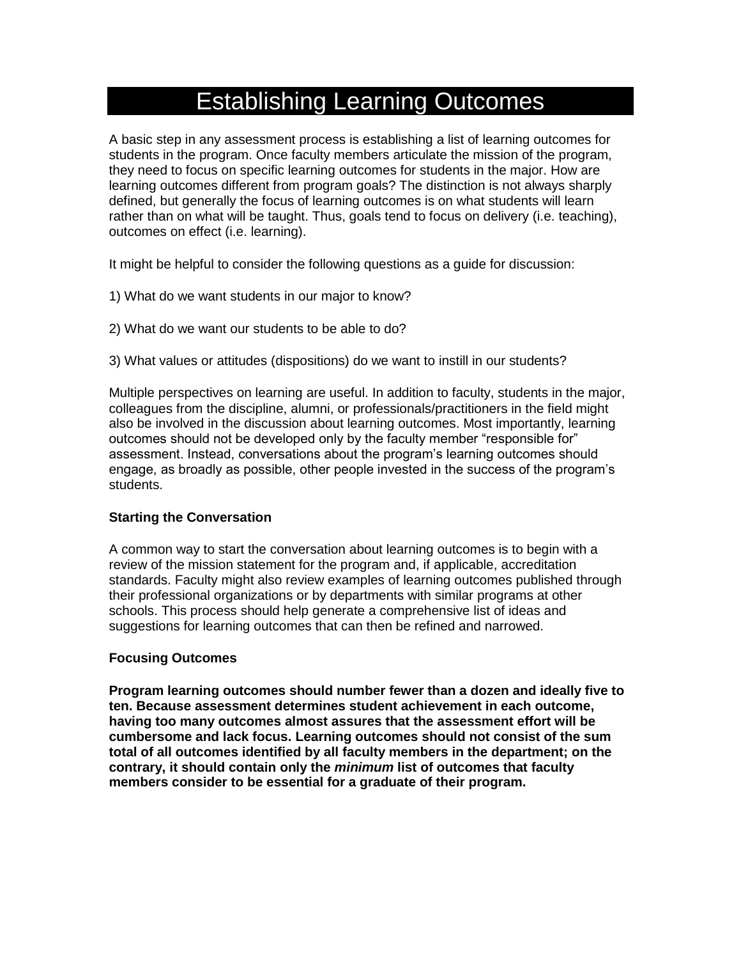## Establishing Learning Outcomes

A basic step in any assessment process is establishing a list of learning outcomes for students in the program. Once faculty members articulate the mission of the program, they need to focus on specific learning outcomes for students in the major. How are learning outcomes different from program goals? The distinction is not always sharply defined, but generally the focus of learning outcomes is on what students will learn rather than on what will be taught. Thus, goals tend to focus on delivery (i.e. teaching), outcomes on effect (i.e. learning).

It might be helpful to consider the following questions as a guide for discussion:

- 1) What do we want students in our major to know?
- 2) What do we want our students to be able to do?
- 3) What values or attitudes (dispositions) do we want to instill in our students?

Multiple perspectives on learning are useful. In addition to faculty, students in the major, colleagues from the discipline, alumni, or professionals/practitioners in the field might also be involved in the discussion about learning outcomes. Most importantly, learning outcomes should not be developed only by the faculty member "responsible for" assessment. Instead, conversations about the program's learning outcomes should engage, as broadly as possible, other people invested in the success of the program's students.

#### **Starting the Conversation**

A common way to start the conversation about learning outcomes is to begin with a review of the mission statement for the program and, if applicable, accreditation standards. Faculty might also review examples of learning outcomes published through their professional organizations or by departments with similar programs at other schools. This process should help generate a comprehensive list of ideas and suggestions for learning outcomes that can then be refined and narrowed.

#### **Focusing Outcomes**

**Program learning outcomes should number fewer than a dozen and ideally five to ten. Because assessment determines student achievement in each outcome, having too many outcomes almost assures that the assessment effort will be cumbersome and lack focus. Learning outcomes should not consist of the sum total of all outcomes identified by all faculty members in the department; on the contrary, it should contain only the** *minimum* **list of outcomes that faculty members consider to be essential for a graduate of their program.**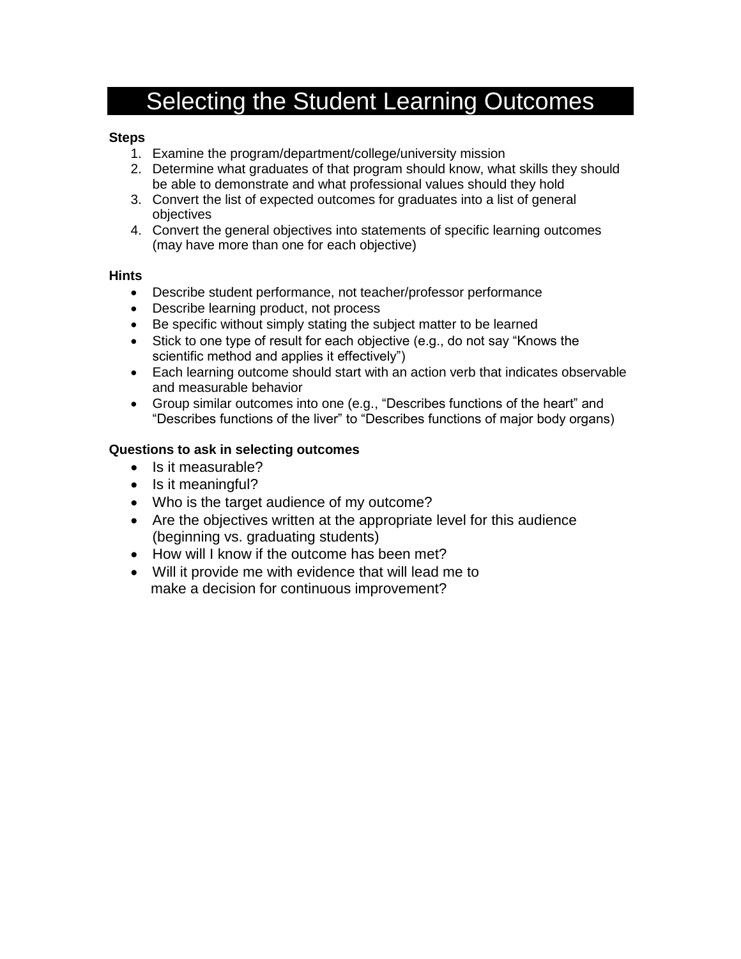# Selecting the Student Learning Outcomes

### **Steps**

- 1. Examine the program/department/college/university mission
- 2. Determine what graduates of that program should know, what skills they should be able to demonstrate and what professional values should they hold
- 3. Convert the list of expected outcomes for graduates into a list of general objectives
- 4. Convert the general objectives into statements of specific learning outcomes (may have more than one for each objective)

#### **Hints**

- Describe student performance, not teacher/professor performance
- Describe learning product, not process
- Be specific without simply stating the subject matter to be learned
- Stick to one type of result for each objective (e.g., do not say "Knows the scientific method and applies it effectively")
- Each learning outcome should start with an action verb that indicates observable and measurable behavior
- Group similar outcomes into one (e.g., "Describes functions of the heart" and "Describes functions of the liver" to "Describes functions of major body organs)

### **Questions to ask in selecting outcomes**

- Is it measurable?
- $\bullet$  Is it meaningful?
- Who is the target audience of my outcome?
- Are the objectives written at the appropriate level for this audience (beginning vs. graduating students)
- How will I know if the outcome has been met?
- Will it provide me with evidence that will lead me to make a decision for continuous improvement?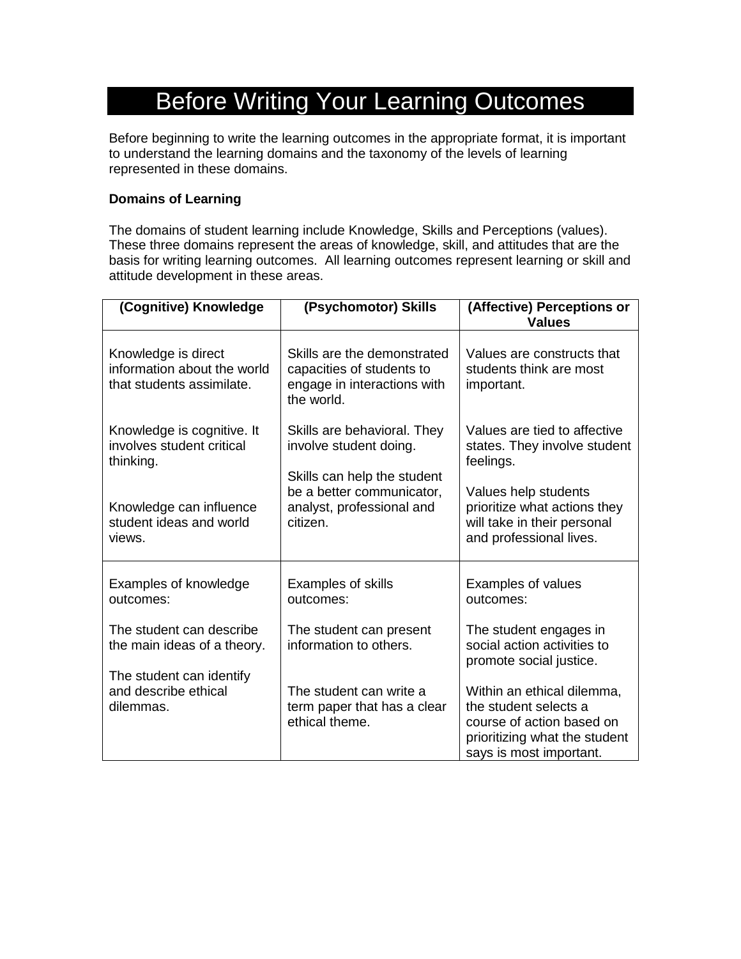# Before Writing Your Learning Outcomes

Before beginning to write the learning outcomes in the appropriate format, it is important to understand the learning domains and the taxonomy of the levels of learning represented in these domains.

### **Domains of Learning**

The domains of student learning include Knowledge, Skills and Perceptions (values). These three domains represent the areas of knowledge, skill, and attitudes that are the basis for writing learning outcomes. All learning outcomes represent learning or skill and attitude development in these areas.

| (Cognitive) Knowledge                                                           | (Psychomotor) Skills                                                                                  | (Affective) Perceptions or<br><b>Values</b>                                                                                                  |  |  |
|---------------------------------------------------------------------------------|-------------------------------------------------------------------------------------------------------|----------------------------------------------------------------------------------------------------------------------------------------------|--|--|
| Knowledge is direct<br>information about the world<br>that students assimilate. | Skills are the demonstrated<br>capacities of students to<br>engage in interactions with<br>the world. | Values are constructs that<br>students think are most<br>important.                                                                          |  |  |
| Knowledge is cognitive. It<br>involves student critical<br>thinking.            | Skills are behavioral. They<br>involve student doing.<br>Skills can help the student                  | Values are tied to affective<br>states. They involve student<br>feelings.                                                                    |  |  |
| Knowledge can influence<br>student ideas and world<br>views.                    | be a better communicator,<br>analyst, professional and<br>citizen.                                    | Values help students<br>prioritize what actions they<br>will take in their personal<br>and professional lives.                               |  |  |
| Examples of knowledge<br>outcomes:                                              | <b>Examples of skills</b><br>outcomes:                                                                | Examples of values<br>outcomes:                                                                                                              |  |  |
| The student can describe<br>the main ideas of a theory.                         | The student can present<br>information to others.                                                     | The student engages in<br>social action activities to<br>promote social justice.                                                             |  |  |
| The student can identify<br>and describe ethical<br>dilemmas.                   | The student can write a<br>term paper that has a clear<br>ethical theme.                              | Within an ethical dilemma,<br>the student selects a<br>course of action based on<br>prioritizing what the student<br>says is most important. |  |  |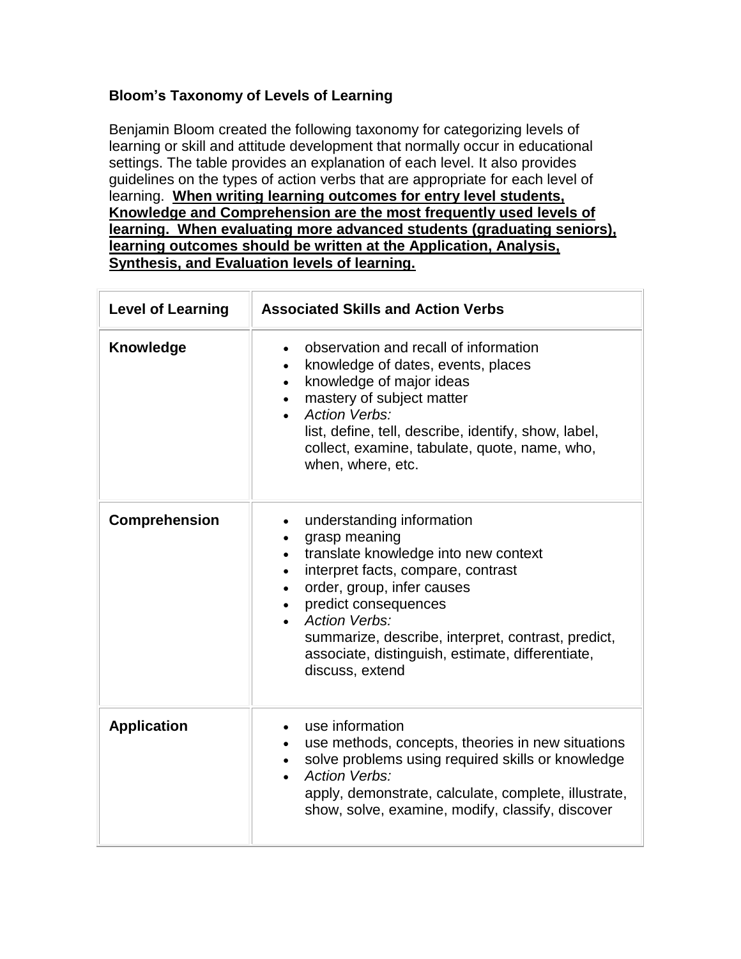### **Bloom's Taxonomy of Levels of Learning**

Benjamin Bloom created the following taxonomy for categorizing levels of learning or skill and attitude development that normally occur in educational settings. The table provides an explanation of each level. It also provides guidelines on the types of action verbs that are appropriate for each level of learning. **When writing learning outcomes for entry level students, Knowledge and Comprehension are the most frequently used levels of learning. When evaluating more advanced students (graduating seniors), learning outcomes should be written at the Application, Analysis, Synthesis, and Evaluation levels of learning.**

| <b>Level of Learning</b> | <b>Associated Skills and Action Verbs</b>                                                                                                                                                                                                                                                                                                                                  |  |  |  |  |
|--------------------------|----------------------------------------------------------------------------------------------------------------------------------------------------------------------------------------------------------------------------------------------------------------------------------------------------------------------------------------------------------------------------|--|--|--|--|
| Knowledge                | observation and recall of information<br>$\bullet$<br>knowledge of dates, events, places<br>$\bullet$<br>knowledge of major ideas<br>$\bullet$<br>mastery of subject matter<br><b>Action Verbs:</b><br>$\bullet$<br>list, define, tell, describe, identify, show, label,<br>collect, examine, tabulate, quote, name, who,<br>when, where, etc.                             |  |  |  |  |
| <b>Comprehension</b>     | understanding information<br>grasp meaning<br>translate knowledge into new context<br>$\bullet$<br>interpret facts, compare, contrast<br>$\bullet$<br>order, group, infer causes<br>$\bullet$<br>predict consequences<br><b>Action Verbs:</b><br>summarize, describe, interpret, contrast, predict,<br>associate, distinguish, estimate, differentiate,<br>discuss, extend |  |  |  |  |
| <b>Application</b>       | use information<br>use methods, concepts, theories in new situations<br>solve problems using required skills or knowledge<br><b>Action Verbs:</b><br>apply, demonstrate, calculate, complete, illustrate,<br>show, solve, examine, modify, classify, discover                                                                                                              |  |  |  |  |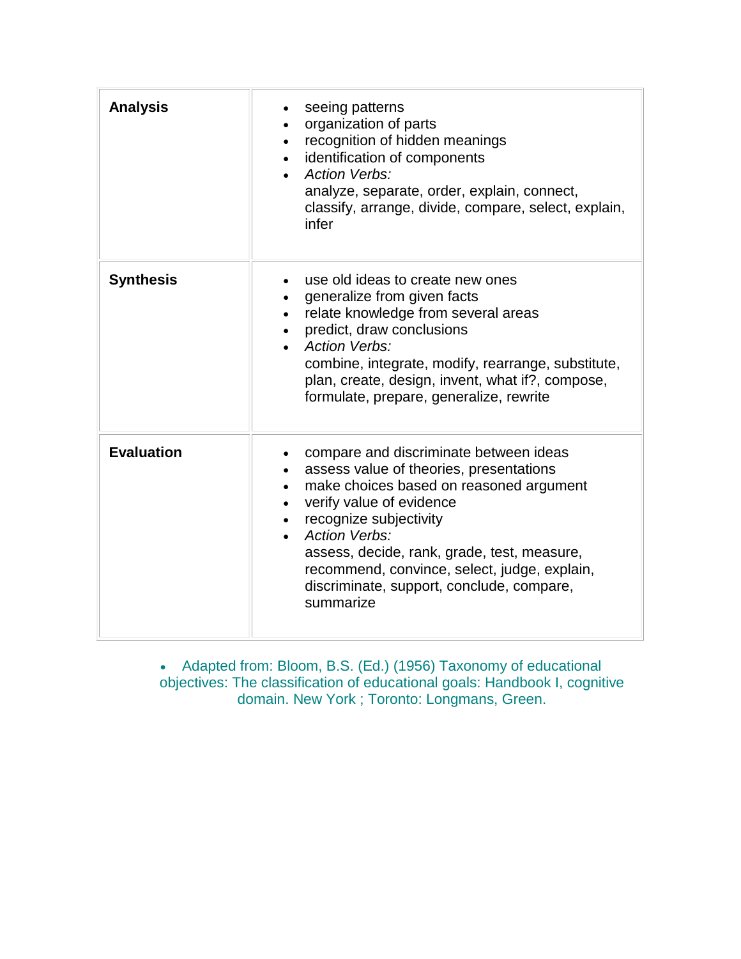| <b>Analysis</b>   | seeing patterns<br>organization of parts<br>recognition of hidden meanings<br>identification of components<br><b>Action Verbs:</b><br>analyze, separate, order, explain, connect,<br>classify, arrange, divide, compare, select, explain,<br>infer                                                                                                                  |
|-------------------|---------------------------------------------------------------------------------------------------------------------------------------------------------------------------------------------------------------------------------------------------------------------------------------------------------------------------------------------------------------------|
| <b>Synthesis</b>  | use old ideas to create new ones<br>generalize from given facts<br>relate knowledge from several areas<br>predict, draw conclusions<br><b>Action Verbs:</b><br>combine, integrate, modify, rearrange, substitute,<br>plan, create, design, invent, what if?, compose,<br>formulate, prepare, generalize, rewrite                                                    |
| <b>Evaluation</b> | compare and discriminate between ideas<br>assess value of theories, presentations<br>make choices based on reasoned argument<br>verify value of evidence<br>recognize subjectivity<br><b>Action Verbs:</b><br>assess, decide, rank, grade, test, measure,<br>recommend, convince, select, judge, explain,<br>discriminate, support, conclude, compare,<br>summarize |

 Adapted from: Bloom, B.S. (Ed.) (1956) Taxonomy of educational objectives: The classification of educational goals: Handbook I, cognitive domain. New York ; Toronto: Longmans, Green.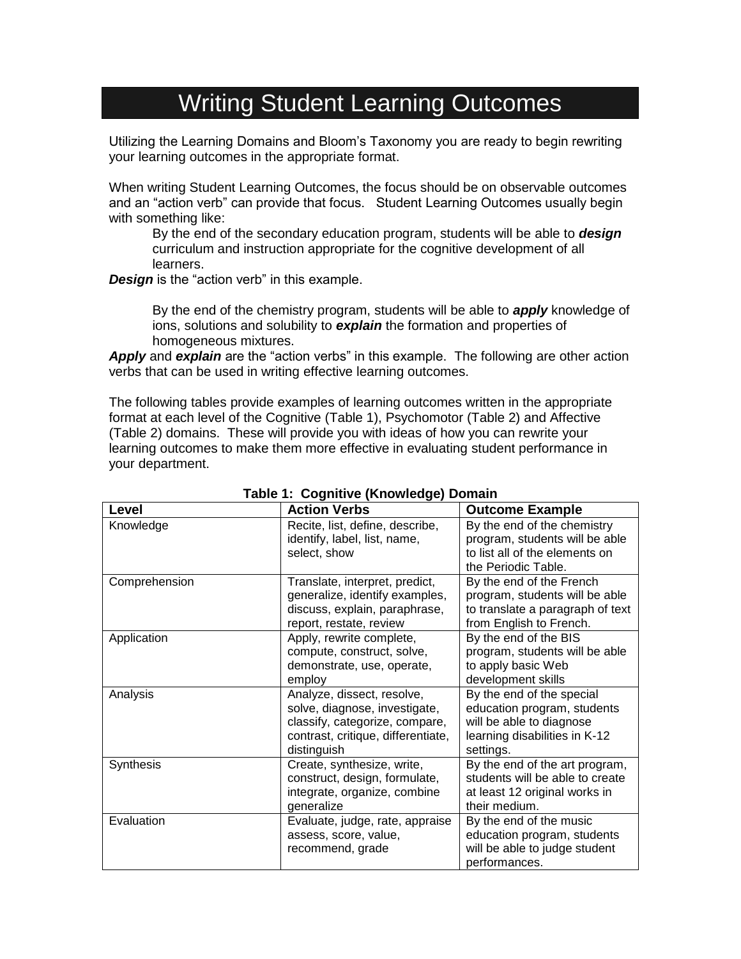## Writing Student Learning Outcomes

Utilizing the Learning Domains and Bloom's Taxonomy you are ready to begin rewriting your learning outcomes in the appropriate format.

When writing Student Learning Outcomes, the focus should be on observable outcomes and an "action verb" can provide that focus. Student Learning Outcomes usually begin with something like:

By the end of the secondary education program, students will be able to *design* curriculum and instruction appropriate for the cognitive development of all learners.

*Design* is the "action verb" in this example.

By the end of the chemistry program, students will be able to *apply* knowledge of ions, solutions and solubility to *explain* the formation and properties of homogeneous mixtures.

*Apply* and *explain* are the "action verbs" in this example. The following are other action verbs that can be used in writing effective learning outcomes.

The following tables provide examples of learning outcomes written in the appropriate format at each level of the Cognitive (Table 1), Psychomotor (Table 2) and Affective (Table 2) domains. These will provide you with ideas of how you can rewrite your learning outcomes to make them more effective in evaluating student performance in your department.

| Level         | <b>Action Verbs</b>                                                                                                                                | <b>Outcome Example</b>                                                                                                             |
|---------------|----------------------------------------------------------------------------------------------------------------------------------------------------|------------------------------------------------------------------------------------------------------------------------------------|
| Knowledge     | Recite, list, define, describe,<br>identify, label, list, name,<br>select, show                                                                    | By the end of the chemistry<br>program, students will be able<br>to list all of the elements on<br>the Periodic Table.             |
| Comprehension | Translate, interpret, predict,<br>generalize, identify examples,<br>discuss, explain, paraphrase,<br>report, restate, review                       | By the end of the French<br>program, students will be able<br>to translate a paragraph of text<br>from English to French.          |
| Application   | Apply, rewrite complete,<br>compute, construct, solve,<br>demonstrate, use, operate,<br>employ                                                     | By the end of the BIS<br>program, students will be able<br>to apply basic Web<br>development skills                                |
| Analysis      | Analyze, dissect, resolve,<br>solve, diagnose, investigate,<br>classify, categorize, compare,<br>contrast, critique, differentiate,<br>distinguish | By the end of the special<br>education program, students<br>will be able to diagnose<br>learning disabilities in K-12<br>settings. |
| Synthesis     | Create, synthesize, write,<br>construct, design, formulate,<br>integrate, organize, combine<br>generalize                                          | By the end of the art program,<br>students will be able to create<br>at least 12 original works in<br>their medium.                |
| Evaluation    | Evaluate, judge, rate, appraise<br>assess, score, value,<br>recommend, grade                                                                       | By the end of the music<br>education program, students<br>will be able to judge student<br>performances.                           |

#### **Table 1: Cognitive (Knowledge) Domain**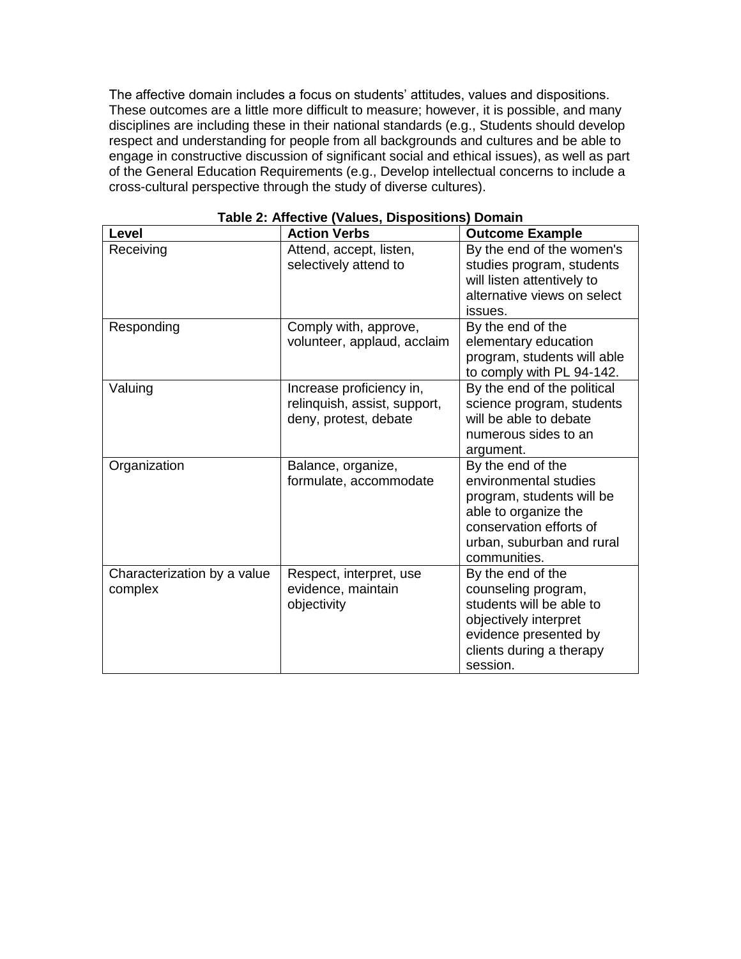The affective domain includes a focus on students' attitudes, values and dispositions. These outcomes are a little more difficult to measure; however, it is possible, and many disciplines are including these in their national standards (e.g., Students should develop respect and understanding for people from all backgrounds and cultures and be able to engage in constructive discussion of significant social and ethical issues), as well as part of the General Education Requirements (e.g., Develop intellectual concerns to include a cross-cultural perspective through the study of diverse cultures).

| <b>Level</b>                | <b>Action Verbs</b>          | <b>Outcome Example</b>      |  |  |
|-----------------------------|------------------------------|-----------------------------|--|--|
| Receiving                   | Attend, accept, listen,      | By the end of the women's   |  |  |
|                             | selectively attend to        | studies program, students   |  |  |
|                             |                              | will listen attentively to  |  |  |
|                             |                              | alternative views on select |  |  |
|                             |                              | issues.                     |  |  |
| Responding                  | Comply with, approve,        | By the end of the           |  |  |
|                             | volunteer, applaud, acclaim  | elementary education        |  |  |
|                             |                              | program, students will able |  |  |
|                             |                              | to comply with PL 94-142.   |  |  |
| Valuing                     | Increase proficiency in,     | By the end of the political |  |  |
|                             | relinquish, assist, support, | science program, students   |  |  |
|                             | deny, protest, debate        | will be able to debate      |  |  |
|                             |                              | numerous sides to an        |  |  |
|                             |                              | argument.                   |  |  |
| Organization                | Balance, organize,           | By the end of the           |  |  |
|                             | formulate, accommodate       | environmental studies       |  |  |
|                             |                              | program, students will be   |  |  |
|                             |                              | able to organize the        |  |  |
|                             |                              | conservation efforts of     |  |  |
|                             |                              | urban, suburban and rural   |  |  |
|                             |                              | communities.                |  |  |
| Characterization by a value | Respect, interpret, use      | By the end of the           |  |  |
| complex                     | evidence, maintain           | counseling program,         |  |  |
|                             | objectivity                  | students will be able to    |  |  |
|                             |                              | objectively interpret       |  |  |
|                             |                              | evidence presented by       |  |  |
|                             |                              | clients during a therapy    |  |  |
|                             |                              | session.                    |  |  |

**Table 2: Affective (Values, Dispositions) Domain**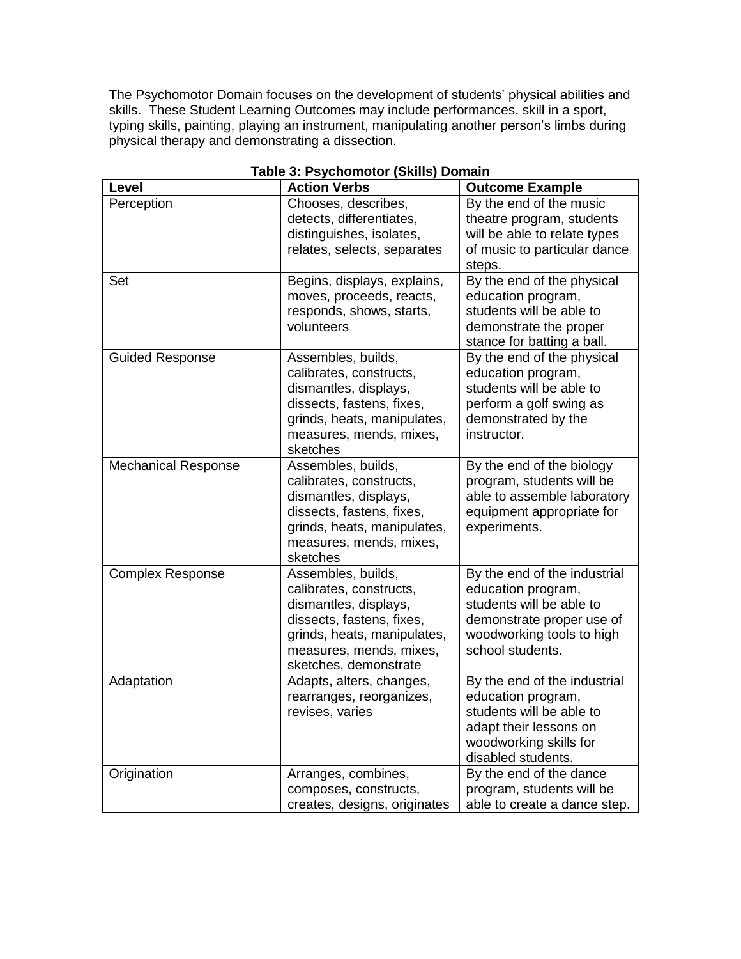The Psychomotor Domain focuses on the development of students' physical abilities and skills. These Student Learning Outcomes may include performances, skill in a sport, typing skills, painting, playing an instrument, manipulating another person's limbs during physical therapy and demonstrating a dissection.

| able <b>5. 1 Sychomotor</b> (ORIHS)<br>. |                                                                                                                                                                                        |                                                                                                                                                              |  |  |  |
|------------------------------------------|----------------------------------------------------------------------------------------------------------------------------------------------------------------------------------------|--------------------------------------------------------------------------------------------------------------------------------------------------------------|--|--|--|
| Level                                    | <b>Action Verbs</b>                                                                                                                                                                    | <b>Outcome Example</b>                                                                                                                                       |  |  |  |
| Perception                               | Chooses, describes,<br>detects, differentiates,<br>distinguishes, isolates,<br>relates, selects, separates                                                                             | By the end of the music<br>theatre program, students<br>will be able to relate types<br>of music to particular dance<br>steps.                               |  |  |  |
| Set                                      | Begins, displays, explains,<br>moves, proceeds, reacts,<br>responds, shows, starts,<br>volunteers                                                                                      | By the end of the physical<br>education program,<br>students will be able to<br>demonstrate the proper<br>stance for batting a ball.                         |  |  |  |
| <b>Guided Response</b>                   | Assembles, builds,<br>calibrates, constructs,<br>dismantles, displays,<br>dissects, fastens, fixes,<br>grinds, heats, manipulates,<br>measures, mends, mixes,<br>sketches              | By the end of the physical<br>education program,<br>students will be able to<br>perform a golf swing as<br>demonstrated by the<br>instructor.                |  |  |  |
| <b>Mechanical Response</b>               | Assembles, builds,<br>calibrates, constructs,<br>dismantles, displays,<br>dissects, fastens, fixes,<br>grinds, heats, manipulates,<br>measures, mends, mixes,<br>sketches              | By the end of the biology<br>program, students will be<br>able to assemble laboratory<br>equipment appropriate for<br>experiments.                           |  |  |  |
| <b>Complex Response</b>                  | Assembles, builds,<br>calibrates, constructs,<br>dismantles, displays,<br>dissects, fastens, fixes,<br>grinds, heats, manipulates,<br>measures, mends, mixes,<br>sketches, demonstrate | By the end of the industrial<br>education program,<br>students will be able to<br>demonstrate proper use of<br>woodworking tools to high<br>school students. |  |  |  |
| Adaptation                               | Adapts, alters, changes,<br>rearranges, reorganizes,<br>revises, varies                                                                                                                | By the end of the industrial<br>education program,<br>students will be able to<br>adapt their lessons on<br>woodworking skills for<br>disabled students.     |  |  |  |
| Origination                              | Arranges, combines,<br>composes, constructs,<br>creates, designs, originates                                                                                                           | By the end of the dance<br>program, students will be<br>able to create a dance step.                                                                         |  |  |  |

### **Table 3: Psychomotor (Skills) Domain**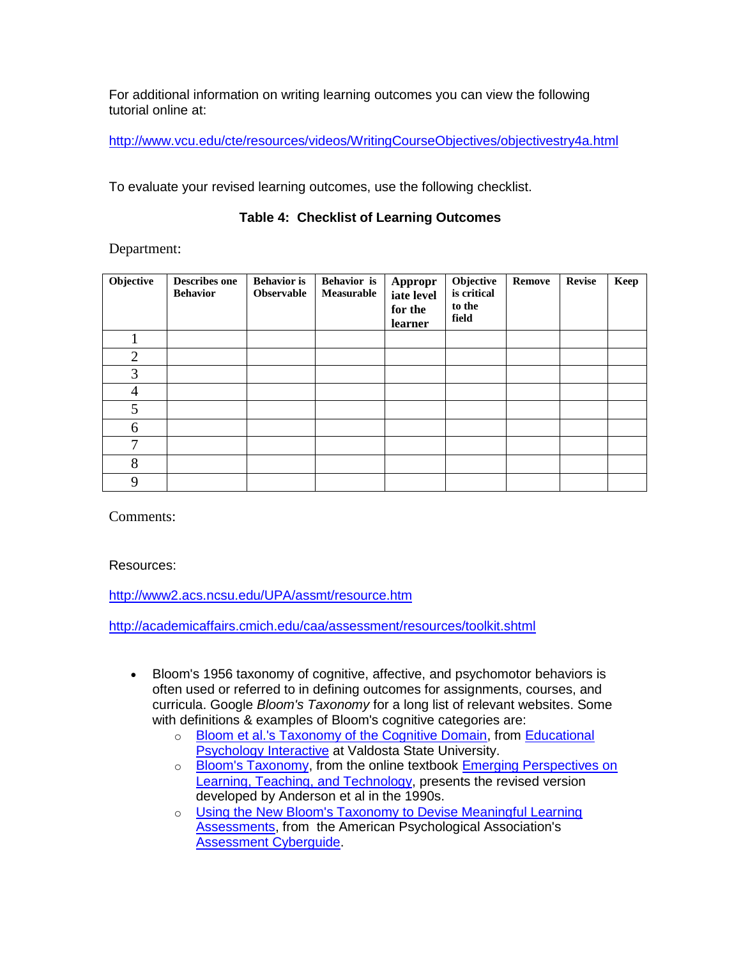For additional information on writing learning outcomes you can view the following tutorial online at:

<http://www.vcu.edu/cte/resources/videos/WritingCourseObjectives/objectivestry4a.html>

To evaluate your revised learning outcomes, use the following checklist.

### **Table 4: Checklist of Learning Outcomes**

Department:

| Objective      | <b>Describes one</b><br><b>Behavior</b> | <b>Behavior</b> is<br><b>Observable</b> | <b>Behavior</b> is<br>Measurable | Appropr<br>iate level<br>for the<br>learner | Objective<br>is critical<br>to the<br>field | <b>Remove</b> | <b>Revise</b> | Keep |
|----------------|-----------------------------------------|-----------------------------------------|----------------------------------|---------------------------------------------|---------------------------------------------|---------------|---------------|------|
|                |                                         |                                         |                                  |                                             |                                             |               |               |      |
| $\overline{2}$ |                                         |                                         |                                  |                                             |                                             |               |               |      |
| 3              |                                         |                                         |                                  |                                             |                                             |               |               |      |
| 4              |                                         |                                         |                                  |                                             |                                             |               |               |      |
| 5              |                                         |                                         |                                  |                                             |                                             |               |               |      |
| 6              |                                         |                                         |                                  |                                             |                                             |               |               |      |
| 7              |                                         |                                         |                                  |                                             |                                             |               |               |      |
| 8              |                                         |                                         |                                  |                                             |                                             |               |               |      |
| 9              |                                         |                                         |                                  |                                             |                                             |               |               |      |

Comments:

Resources:

<http://www2.acs.ncsu.edu/UPA/assmt/resource.htm>

<http://academicaffairs.cmich.edu/caa/assessment/resources/toolkit.shtml>

- Bloom's 1956 taxonomy of cognitive, affective, and psychomotor behaviors is often used or referred to in defining outcomes for assignments, courses, and curricula. Google *Bloom's Taxonomy* for a long list of relevant websites. Some with definitions & examples of Bloom's cognitive categories are:
	- o [Bloom et al.'s Taxonomy of the Cognitive Domain,](http://chiron.valdosta.edu/whuitt/col/cogsys/bloom.html) from [Educational](http://chiron.valdosta.edu/whuitt/)  [Psychology Interactive](http://chiron.valdosta.edu/whuitt/) at Valdosta State University.
	- o [Bloom's Taxonomy,](http://projects.coe.uga.edu/epltt/index.php?title=Bloom%27s_Taxonomy#What_is_Bloom.27s_Taxonomy.3F) from the online textbook Emerging Perspectives on [Learning, Teaching, and Technology,](http://projects.coe.uga.edu/epltt/index.php?title=Main_Page) presents the revised version developed by Anderson et al in the 1990s.
	- o [Using the New Bloom's Taxonomy to Devise Meaningful Learning](http://www.apa.org/ed/new_blooms.html)  [Assessments,](http://www.apa.org/ed/new_blooms.html) from the American Psychological Association's [Assessment Cyberguide.](http://www2.acs.ncsu.edu/UPA/assmt/resource.htm#apa_cyberguide#apa_cyberguide)